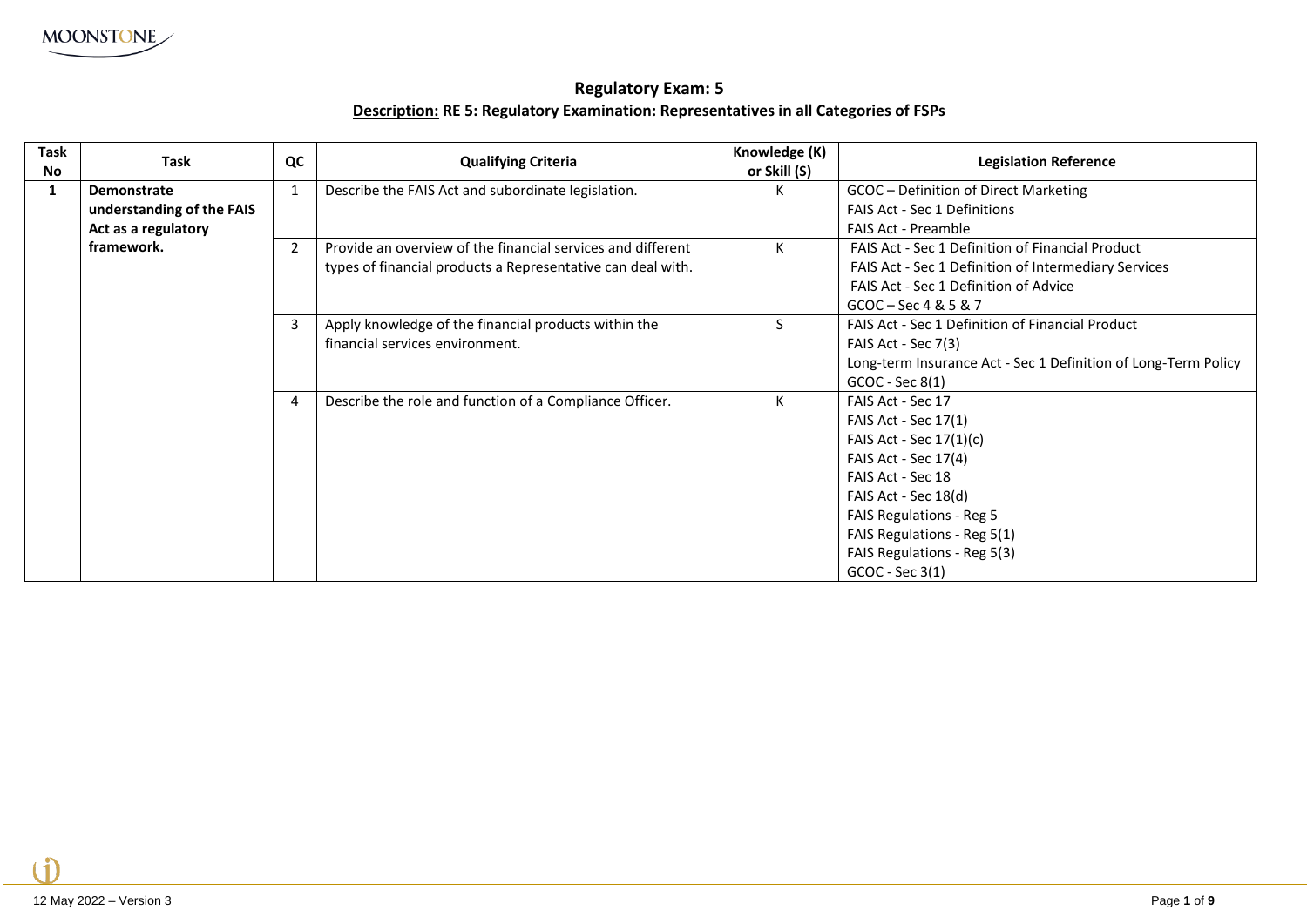## **Regulatory Exam: 5 Description: RE 5: Regulatory Examination: Representatives in all Categories of FSPs**

| Task<br>No | Task                      | QC             | <b>Qualifying Criteria</b>                                  | Knowledge (K)<br>or Skill (S) | <b>Legislation Reference</b>                                   |
|------------|---------------------------|----------------|-------------------------------------------------------------|-------------------------------|----------------------------------------------------------------|
|            | <b>Demonstrate</b>        | $\mathbf{1}$   | Describe the FAIS Act and subordinate legislation.          | К                             | GCOC - Definition of Direct Marketing                          |
|            | understanding of the FAIS |                |                                                             |                               | <b>FAIS Act - Sec 1 Definitions</b>                            |
|            | Act as a regulatory       |                |                                                             |                               | <b>FAIS Act - Preamble</b>                                     |
|            | framework.                | $\overline{2}$ | Provide an overview of the financial services and different | К                             | <b>FAIS Act - Sec 1 Definition of Financial Product</b>        |
|            |                           |                | types of financial products a Representative can deal with. |                               | FAIS Act - Sec 1 Definition of Intermediary Services           |
|            |                           |                |                                                             |                               | FAIS Act - Sec 1 Definition of Advice                          |
|            |                           |                |                                                             |                               | $GCOC - Sec 4 & 5 & 7$                                         |
|            |                           | 3              | Apply knowledge of the financial products within the        | S.                            | FAIS Act - Sec 1 Definition of Financial Product               |
|            |                           |                | financial services environment.                             |                               | FAIS Act - Sec 7(3)                                            |
|            |                           |                |                                                             |                               | Long-term Insurance Act - Sec 1 Definition of Long-Term Policy |
|            |                           |                |                                                             |                               | $GCOC - Sec 8(1)$                                              |
|            |                           | 4              | Describe the role and function of a Compliance Officer.     | К                             | FAIS Act - Sec 17                                              |
|            |                           |                |                                                             |                               | FAIS Act - Sec 17(1)                                           |
|            |                           |                |                                                             |                               | FAIS Act - Sec 17(1)(c)                                        |
|            |                           |                |                                                             |                               | FAIS Act - Sec 17(4)                                           |
|            |                           |                |                                                             |                               | FAIS Act - Sec 18                                              |
|            |                           |                |                                                             |                               | FAIS Act - Sec 18(d)                                           |
|            |                           |                |                                                             |                               | <b>FAIS Regulations - Reg 5</b>                                |
|            |                           |                |                                                             |                               | FAIS Regulations - Reg 5(1)                                    |
|            |                           |                |                                                             |                               | FAIS Regulations - Reg 5(3)                                    |
|            |                           |                |                                                             |                               | GCOC - Sec 3(1)                                                |

 $\blacksquare$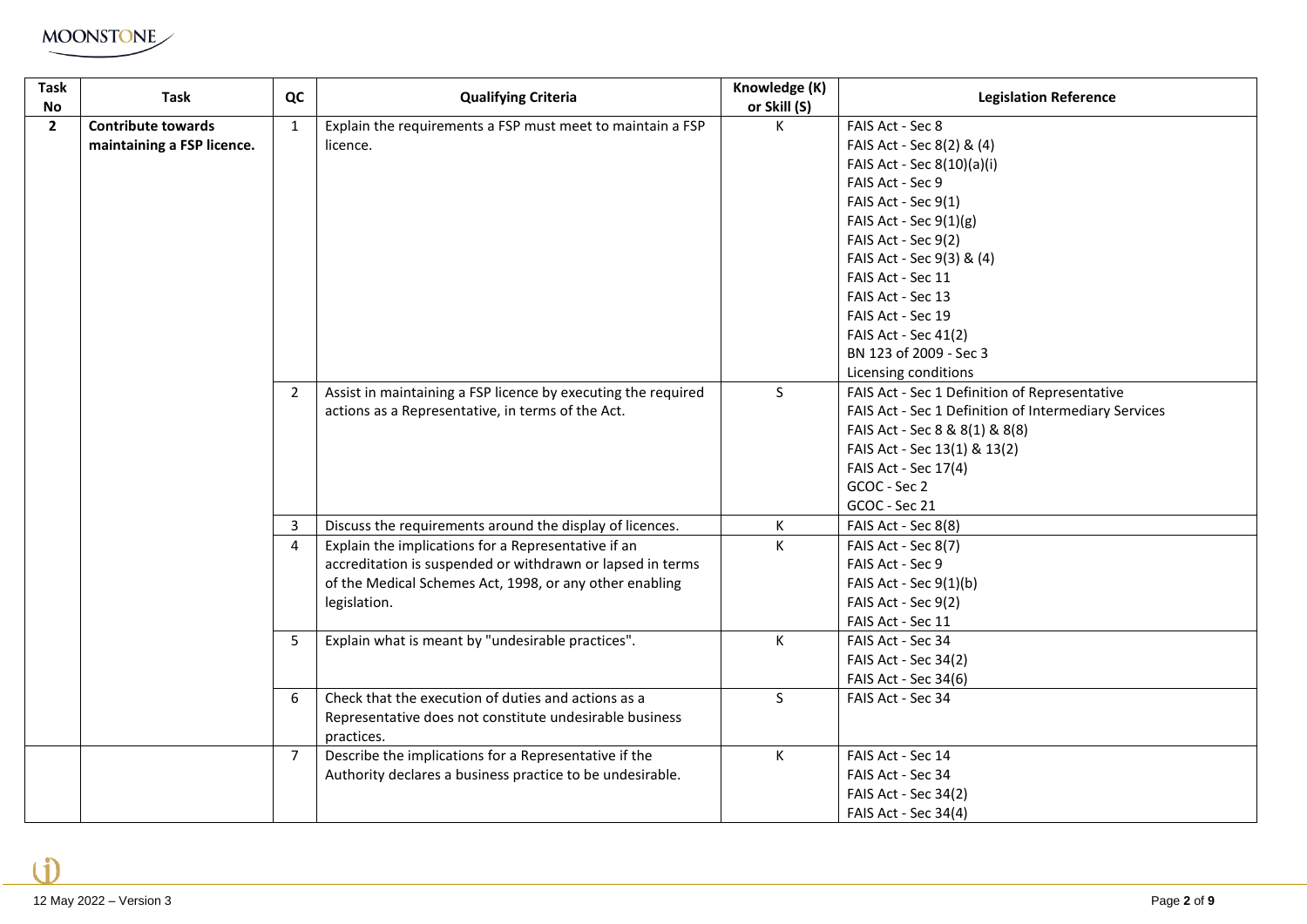

| <b>Task</b><br><b>No</b> | <b>Task</b>                                             | QC             | <b>Qualifying Criteria</b>                                                                                                   | Knowledge (K)<br>or Skill (S) | <b>Legislation Reference</b>                         |
|--------------------------|---------------------------------------------------------|----------------|------------------------------------------------------------------------------------------------------------------------------|-------------------------------|------------------------------------------------------|
| $\mathbf{2}$             | <b>Contribute towards</b><br>maintaining a FSP licence. | $\mathbf{1}$   | Explain the requirements a FSP must meet to maintain a FSP<br>licence.                                                       | К                             | FAIS Act - Sec 8<br>FAIS Act - Sec 8(2) & (4)        |
|                          |                                                         |                |                                                                                                                              |                               | FAIS Act - Sec 8(10)(a)(i)                           |
|                          |                                                         |                |                                                                                                                              |                               | FAIS Act - Sec 9                                     |
|                          |                                                         |                |                                                                                                                              |                               | FAIS Act - Sec 9(1)                                  |
|                          |                                                         |                |                                                                                                                              |                               | FAIS Act - Sec $9(1)(g)$                             |
|                          |                                                         |                |                                                                                                                              |                               | FAIS Act - Sec 9(2)                                  |
|                          |                                                         |                |                                                                                                                              |                               | FAIS Act - Sec 9(3) & (4)                            |
|                          |                                                         |                |                                                                                                                              |                               | FAIS Act - Sec 11                                    |
|                          |                                                         |                |                                                                                                                              |                               | FAIS Act - Sec 13                                    |
|                          |                                                         |                |                                                                                                                              |                               | FAIS Act - Sec 19                                    |
|                          |                                                         |                |                                                                                                                              |                               | FAIS Act - Sec 41(2)                                 |
|                          |                                                         |                |                                                                                                                              |                               | BN 123 of 2009 - Sec 3                               |
|                          |                                                         |                |                                                                                                                              |                               | Licensing conditions                                 |
|                          |                                                         | $\overline{2}$ | Assist in maintaining a FSP licence by executing the required                                                                | $\mathsf{S}$                  | FAIS Act - Sec 1 Definition of Representative        |
|                          |                                                         |                | actions as a Representative, in terms of the Act.                                                                            |                               | FAIS Act - Sec 1 Definition of Intermediary Services |
|                          |                                                         |                |                                                                                                                              |                               | FAIS Act - Sec 8 & 8(1) & 8(8)                       |
|                          |                                                         |                |                                                                                                                              |                               | FAIS Act - Sec 13(1) & 13(2)                         |
|                          |                                                         |                |                                                                                                                              |                               | FAIS Act - Sec 17(4)                                 |
|                          |                                                         |                |                                                                                                                              |                               | GCOC - Sec 2                                         |
|                          |                                                         |                |                                                                                                                              |                               | GCOC - Sec 21                                        |
|                          |                                                         | 3              | Discuss the requirements around the display of licences.                                                                     | К                             | FAIS Act - Sec 8(8)                                  |
|                          |                                                         | $\overline{4}$ | Explain the implications for a Representative if an                                                                          | К                             | FAIS Act - Sec 8(7)                                  |
|                          |                                                         |                | accreditation is suspended or withdrawn or lapsed in terms                                                                   |                               | FAIS Act - Sec 9                                     |
|                          |                                                         |                | of the Medical Schemes Act, 1998, or any other enabling                                                                      |                               | FAIS Act - Sec $9(1)(b)$                             |
|                          |                                                         |                | legislation.                                                                                                                 |                               | FAIS Act - Sec 9(2)                                  |
|                          |                                                         |                |                                                                                                                              |                               | FAIS Act - Sec 11                                    |
|                          |                                                         | 5              | Explain what is meant by "undesirable practices".                                                                            | К                             | FAIS Act - Sec 34                                    |
|                          |                                                         |                |                                                                                                                              |                               | FAIS Act - Sec 34(2)                                 |
|                          |                                                         |                |                                                                                                                              |                               | FAIS Act - Sec 34(6)                                 |
|                          |                                                         | 6              | Check that the execution of duties and actions as a<br>Representative does not constitute undesirable business<br>practices. | $\mathsf{S}$                  | FAIS Act - Sec 34                                    |
|                          |                                                         | $\overline{7}$ | Describe the implications for a Representative if the                                                                        | $\mathsf{K}$                  | FAIS Act - Sec 14                                    |
|                          |                                                         |                | Authority declares a business practice to be undesirable.                                                                    |                               | FAIS Act - Sec 34                                    |
|                          |                                                         |                |                                                                                                                              |                               | FAIS Act - Sec 34(2)                                 |
|                          |                                                         |                |                                                                                                                              |                               | <b>FAIS Act - Sec 34(4)</b>                          |

 $\hat{1}$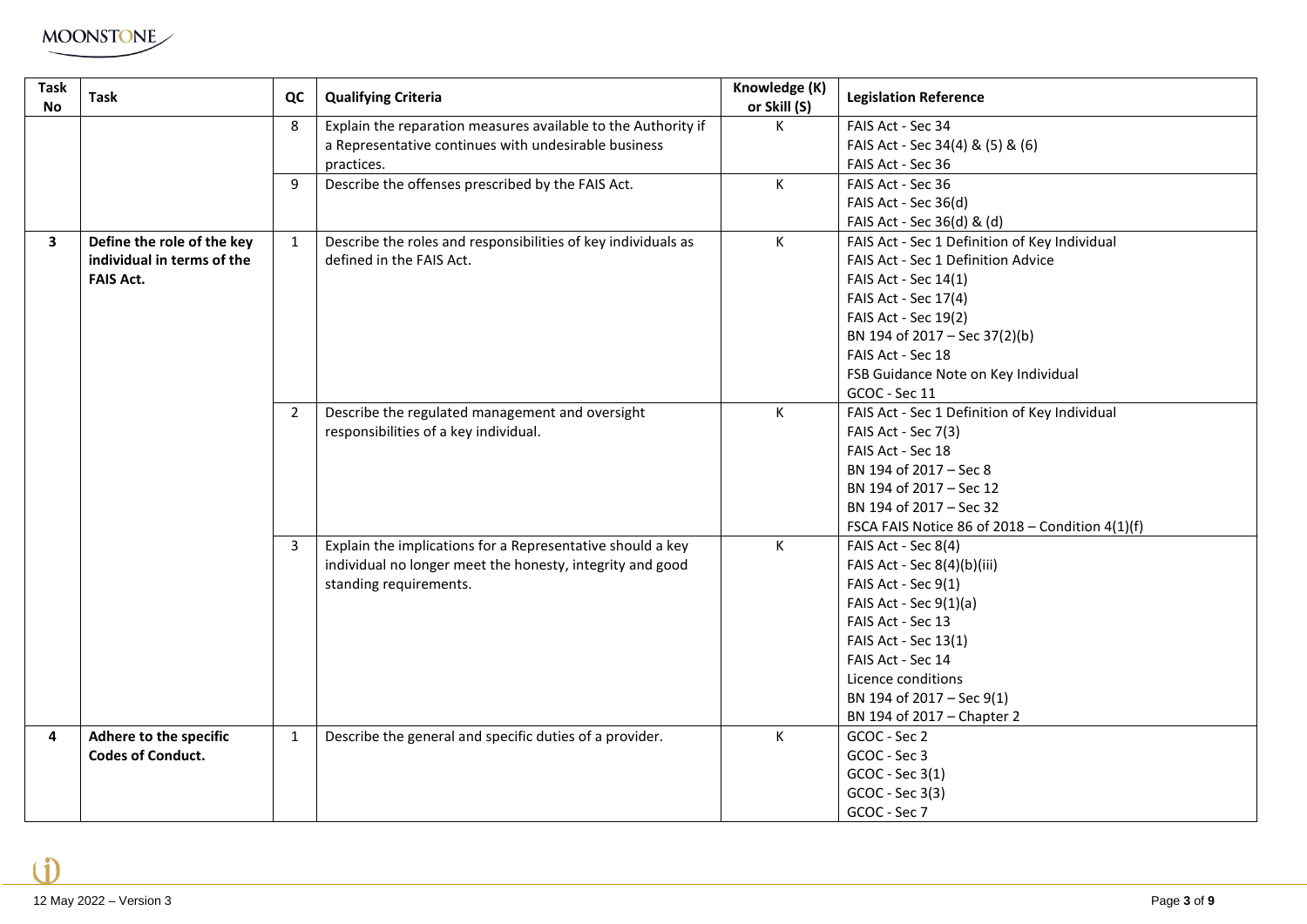

| <b>Task</b><br><b>No</b> | Task                       | QC             | <b>Qualifying Criteria</b>                                    | Knowledge (K)<br>or Skill (S) | <b>Legislation Reference</b>                    |
|--------------------------|----------------------------|----------------|---------------------------------------------------------------|-------------------------------|-------------------------------------------------|
|                          |                            | 8              | Explain the reparation measures available to the Authority if | K                             | FAIS Act - Sec 34                               |
|                          |                            |                | a Representative continues with undesirable business          |                               | FAIS Act - Sec 34(4) & (5) & (6)                |
|                          |                            |                | practices.                                                    |                               | FAIS Act - Sec 36                               |
|                          |                            | 9              | Describe the offenses prescribed by the FAIS Act.             | K.                            | FAIS Act - Sec 36                               |
|                          |                            |                |                                                               |                               | FAIS Act - Sec 36(d)                            |
|                          |                            |                |                                                               |                               | FAIS Act - Sec 36(d) & (d)                      |
| $\overline{\mathbf{3}}$  | Define the role of the key | $\mathbf{1}$   | Describe the roles and responsibilities of key individuals as | K                             | FAIS Act - Sec 1 Definition of Key Individual   |
|                          | individual in terms of the |                | defined in the FAIS Act.                                      |                               | FAIS Act - Sec 1 Definition Advice              |
|                          | <b>FAIS Act.</b>           |                |                                                               |                               | FAIS Act - Sec 14(1)                            |
|                          |                            |                |                                                               |                               | FAIS Act - Sec 17(4)                            |
|                          |                            |                |                                                               |                               | FAIS Act - Sec 19(2)                            |
|                          |                            |                |                                                               |                               | BN 194 of 2017 - Sec 37(2)(b)                   |
|                          |                            |                |                                                               |                               | FAIS Act - Sec 18                               |
|                          |                            |                |                                                               |                               | FSB Guidance Note on Key Individual             |
|                          |                            |                |                                                               |                               | GCOC - Sec 11                                   |
|                          |                            | $\overline{2}$ | Describe the regulated management and oversight               | K                             | FAIS Act - Sec 1 Definition of Key Individual   |
|                          |                            |                | responsibilities of a key individual.                         |                               | FAIS Act - Sec 7(3)                             |
|                          |                            |                |                                                               |                               | FAIS Act - Sec 18                               |
|                          |                            |                |                                                               |                               | BN 194 of 2017 - Sec 8                          |
|                          |                            |                |                                                               |                               | BN 194 of 2017 - Sec 12                         |
|                          |                            |                |                                                               |                               | BN 194 of 2017 - Sec 32                         |
|                          |                            |                |                                                               |                               | FSCA FAIS Notice 86 of 2018 - Condition 4(1)(f) |
|                          |                            | $\overline{3}$ | Explain the implications for a Representative should a key    | K                             | FAIS Act - Sec 8(4)                             |
|                          |                            |                | individual no longer meet the honesty, integrity and good     |                               | FAIS Act - Sec 8(4)(b)(iii)                     |
|                          |                            |                | standing requirements.                                        |                               | FAIS Act - Sec 9(1)                             |
|                          |                            |                |                                                               |                               | FAIS Act - Sec $9(1)(a)$                        |
|                          |                            |                |                                                               |                               | FAIS Act - Sec 13                               |
|                          |                            |                |                                                               |                               | FAIS Act - Sec 13(1)                            |
|                          |                            |                |                                                               |                               | FAIS Act - Sec 14                               |
|                          |                            |                |                                                               |                               | Licence conditions                              |
|                          |                            |                |                                                               |                               | BN 194 of 2017 - Sec 9(1)                       |
|                          |                            |                |                                                               |                               | BN 194 of 2017 - Chapter 2                      |
| 4                        | Adhere to the specific     | $\mathbf{1}$   | Describe the general and specific duties of a provider.       | K                             | GCOC - Sec 2                                    |
|                          | <b>Codes of Conduct.</b>   |                |                                                               |                               | GCOC - Sec 3                                    |
|                          |                            |                |                                                               |                               | GCOC - Sec 3(1)                                 |
|                          |                            |                |                                                               |                               | GCOC - Sec 3(3)                                 |
|                          |                            |                |                                                               |                               | GCOC - Sec 7                                    |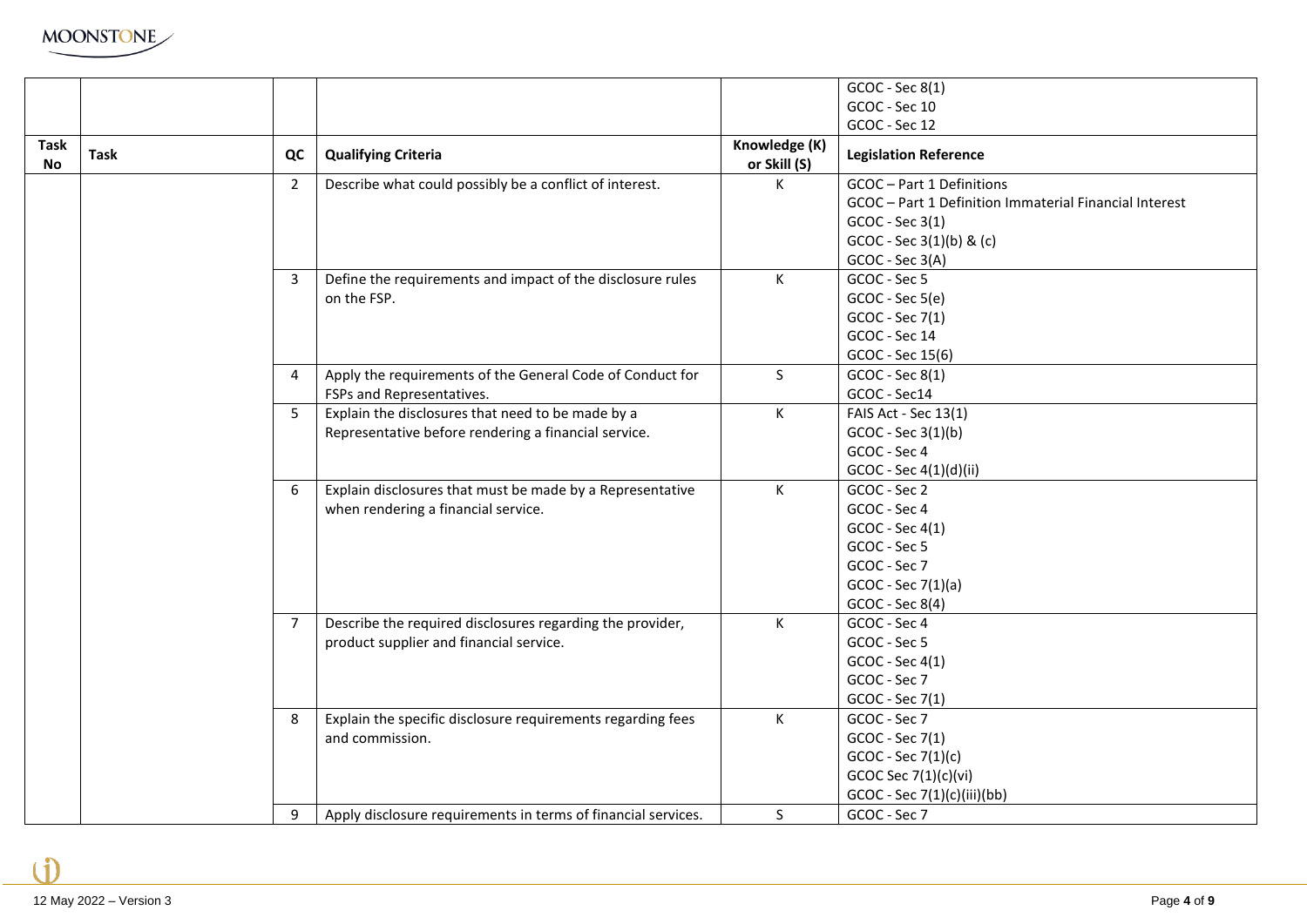

|                   |      |                |                                                               |                               | GCOC - Sec 8(1)                                        |
|-------------------|------|----------------|---------------------------------------------------------------|-------------------------------|--------------------------------------------------------|
|                   |      |                |                                                               |                               | GCOC - Sec 10                                          |
|                   |      |                |                                                               |                               | GCOC - Sec 12                                          |
|                   |      |                |                                                               |                               |                                                        |
| Task<br><b>No</b> | Task | QC             | <b>Qualifying Criteria</b>                                    | Knowledge (K)<br>or Skill (S) | <b>Legislation Reference</b>                           |
|                   |      | $\overline{2}$ | Describe what could possibly be a conflict of interest.       | К                             | GCOC-Part 1 Definitions                                |
|                   |      |                |                                                               |                               | GCOC - Part 1 Definition Immaterial Financial Interest |
|                   |      |                |                                                               |                               | GCOC - Sec 3(1)                                        |
|                   |      |                |                                                               |                               | GCOC - Sec 3(1)(b) & (c)                               |
|                   |      |                |                                                               |                               | GCOC - Sec 3(A)                                        |
|                   |      | 3              | Define the requirements and impact of the disclosure rules    | K                             | GCOC - Sec 5                                           |
|                   |      |                | on the FSP.                                                   |                               | GCOC - Sec 5(e)                                        |
|                   |      |                |                                                               |                               | GCOC - Sec 7(1)                                        |
|                   |      |                |                                                               |                               | GCOC - Sec 14                                          |
|                   |      |                |                                                               |                               | GCOC - Sec 15(6)                                       |
|                   |      | 4              | Apply the requirements of the General Code of Conduct for     | S                             | GCOC - Sec 8(1)                                        |
|                   |      |                | FSPs and Representatives.                                     |                               | GCOC - Sec14                                           |
|                   |      | 5              | Explain the disclosures that need to be made by a             | K                             | FAIS Act - Sec 13(1)                                   |
|                   |      |                | Representative before rendering a financial service.          |                               | GCOC - Sec 3(1)(b)                                     |
|                   |      |                |                                                               |                               | GCOC - Sec 4                                           |
|                   |      |                |                                                               |                               | GCOC - Sec 4(1)(d)(ii)                                 |
|                   |      | 6              | Explain disclosures that must be made by a Representative     | $\mathsf{K}$                  | GCOC - Sec 2                                           |
|                   |      |                | when rendering a financial service.                           |                               | GCOC - Sec 4                                           |
|                   |      |                |                                                               |                               | GCOC - Sec 4(1)                                        |
|                   |      |                |                                                               |                               | GCOC - Sec 5                                           |
|                   |      |                |                                                               |                               | GCOC - Sec 7                                           |
|                   |      |                |                                                               |                               | GCOC - Sec 7(1)(a)                                     |
|                   |      |                |                                                               |                               | GCOC - Sec 8(4)                                        |
|                   |      | $\overline{7}$ | Describe the required disclosures regarding the provider,     | K                             | GCOC - Sec 4                                           |
|                   |      |                | product supplier and financial service.                       |                               | GCOC - Sec 5                                           |
|                   |      |                |                                                               |                               | GCOC - Sec 4(1)                                        |
|                   |      |                |                                                               |                               | GCOC - Sec 7                                           |
|                   |      |                |                                                               |                               | GCOC - Sec 7(1)                                        |
|                   |      | 8              | Explain the specific disclosure requirements regarding fees   | K                             | GCOC - Sec 7                                           |
|                   |      |                | and commission.                                               |                               | GCOC - Sec 7(1)                                        |
|                   |      |                |                                                               |                               | $GCOC - Sec 7(1)(c)$                                   |
|                   |      |                |                                                               |                               | GCOC Sec 7(1)(c)(vi)                                   |
|                   |      |                |                                                               |                               | GCOC - Sec 7(1)(c)(iii)(bb)                            |
|                   |      | 9              | Apply disclosure requirements in terms of financial services. | S                             | GCOC - Sec 7                                           |

 $\hat{\mathbf{1}}$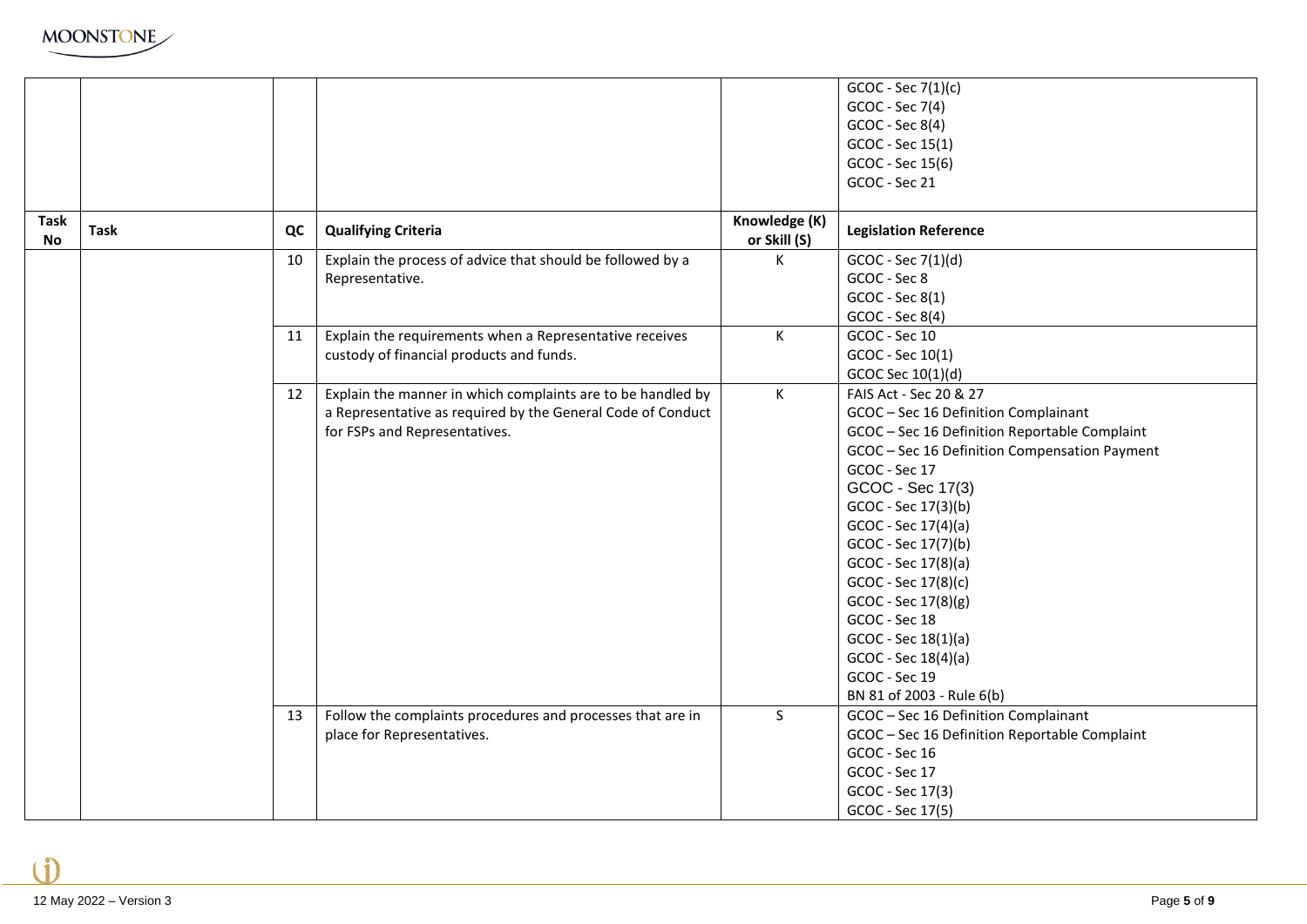|                          |             |    |                                                             |                               | GCOC - Sec 7(1)(c)                            |
|--------------------------|-------------|----|-------------------------------------------------------------|-------------------------------|-----------------------------------------------|
|                          |             |    |                                                             |                               | GCOC - Sec 7(4)                               |
|                          |             |    |                                                             |                               | GCOC - Sec 8(4)                               |
|                          |             |    |                                                             |                               | GCOC - Sec 15(1)                              |
|                          |             |    |                                                             |                               | GCOC - Sec 15(6)                              |
|                          |             |    |                                                             |                               | GCOC - Sec 21                                 |
|                          |             |    |                                                             |                               |                                               |
| <b>Task</b><br><b>No</b> | <b>Task</b> | QC | <b>Qualifying Criteria</b>                                  | Knowledge (K)<br>or Skill (S) | <b>Legislation Reference</b>                  |
|                          |             | 10 | Explain the process of advice that should be followed by a  | К                             | GCOC - Sec 7(1)(d)                            |
|                          |             |    | Representative.                                             |                               | GCOC - Sec 8                                  |
|                          |             |    |                                                             |                               | GCOC - Sec 8(1)                               |
|                          |             |    |                                                             |                               | GCOC - Sec 8(4)                               |
|                          |             | 11 | Explain the requirements when a Representative receives     | К                             | GCOC - Sec 10                                 |
|                          |             |    | custody of financial products and funds.                    |                               | GCOC - Sec 10(1)                              |
|                          |             |    |                                                             |                               | GCOC Sec 10(1)(d)                             |
|                          |             | 12 | Explain the manner in which complaints are to be handled by | К                             | FAIS Act - Sec 20 & 27                        |
|                          |             |    | a Representative as required by the General Code of Conduct |                               | GCOC - Sec 16 Definition Complainant          |
|                          |             |    | for FSPs and Representatives.                               |                               | GCOC - Sec 16 Definition Reportable Complaint |
|                          |             |    |                                                             |                               | GCOC - Sec 16 Definition Compensation Payment |
|                          |             |    |                                                             |                               | GCOC - Sec 17                                 |
|                          |             |    |                                                             |                               | GCOC - Sec 17(3)                              |
|                          |             |    |                                                             |                               | GCOC - Sec 17(3)(b)                           |
|                          |             |    |                                                             |                               | GCOC - Sec 17(4)(a)                           |
|                          |             |    |                                                             |                               | GCOC - Sec 17(7)(b)                           |
|                          |             |    |                                                             |                               | GCOC - Sec 17(8)(a)                           |
|                          |             |    |                                                             |                               | GCOC - Sec 17(8)(c)                           |
|                          |             |    |                                                             |                               | GCOC - Sec 17(8)(g)                           |
|                          |             |    |                                                             |                               | GCOC - Sec 18                                 |
|                          |             |    |                                                             |                               | GCOC - Sec 18(1)(a)                           |
|                          |             |    |                                                             |                               | GCOC - Sec 18(4)(a)                           |
|                          |             |    |                                                             |                               | GCOC - Sec 19                                 |
|                          |             |    |                                                             |                               | BN 81 of 2003 - Rule 6(b)                     |
|                          |             | 13 | Follow the complaints procedures and processes that are in  | S                             | GCOC - Sec 16 Definition Complainant          |
|                          |             |    | place for Representatives.                                  |                               | GCOC - Sec 16 Definition Reportable Complaint |
|                          |             |    |                                                             |                               | GCOC - Sec 16                                 |
|                          |             |    |                                                             |                               | GCOC - Sec 17                                 |
|                          |             |    |                                                             |                               | GCOC - Sec 17(3)                              |
|                          |             |    |                                                             |                               | GCOC - Sec 17(5)                              |

C1)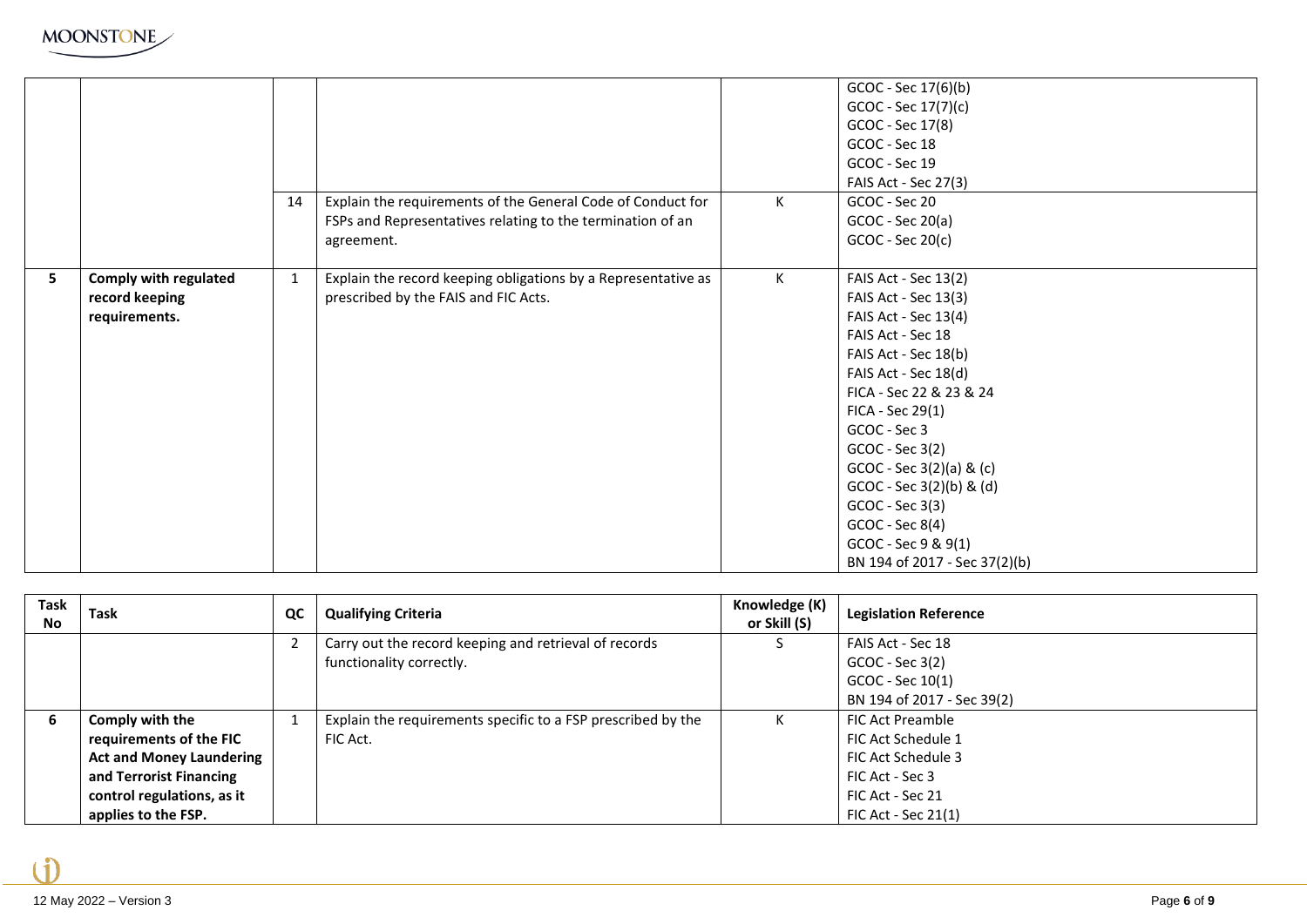

|   |                                                                 | 14           | Explain the requirements of the General Code of Conduct for<br>FSPs and Representatives relating to the termination of an<br>agreement. | К | GCOC - Sec 17(6)(b)<br>GCOC - Sec 17(7)(c)<br>GCOC - Sec 17(8)<br>GCOC - Sec 18<br>GCOC - Sec 19<br>FAIS Act - Sec 27(3)<br>GCOC - Sec 20<br>$GCOC - Sec 20(a)$<br>$GCOC - Sec 20(c)$                                                                                                                                                                                                     |
|---|-----------------------------------------------------------------|--------------|-----------------------------------------------------------------------------------------------------------------------------------------|---|-------------------------------------------------------------------------------------------------------------------------------------------------------------------------------------------------------------------------------------------------------------------------------------------------------------------------------------------------------------------------------------------|
| 5 | <b>Comply with regulated</b><br>record keeping<br>requirements. | $\mathbf{1}$ | Explain the record keeping obligations by a Representative as<br>prescribed by the FAIS and FIC Acts.                                   | K | FAIS Act - Sec 13(2)<br>FAIS Act - Sec 13(3)<br>FAIS Act - Sec 13(4)<br>FAIS Act - Sec 18<br>FAIS Act - Sec 18(b)<br>FAIS Act - Sec 18(d)<br>FICA - Sec 22 & 23 & 24<br>$FICA - Sec 29(1)$<br>GCOC - Sec 3<br>$GCOC - Sec 3(2)$<br>$GCOC - Sec 3(2)(a) & (c)$<br>$GCOC - Sec 3(2)(b) 8$ (d)<br>GCOC - Sec 3(3)<br>GCOC - Sec 8(4)<br>GCOC - Sec 9 & 9(1)<br>BN 194 of 2017 - Sec 37(2)(b) |

| Task<br><b>No</b> | Task                            | QC | <b>Qualifying Criteria</b>                                   | Knowledge (K)<br>or Skill (S) | <b>Legislation Reference</b> |
|-------------------|---------------------------------|----|--------------------------------------------------------------|-------------------------------|------------------------------|
|                   |                                 |    | Carry out the record keeping and retrieval of records        |                               | FAIS Act - Sec 18            |
|                   |                                 |    | functionality correctly.                                     |                               | $GCOC - Sec 3(2)$            |
|                   |                                 |    |                                                              |                               | GCOC - Sec 10(1)             |
|                   |                                 |    |                                                              |                               | BN 194 of 2017 - Sec 39(2)   |
| -6                | Comply with the                 |    | Explain the requirements specific to a FSP prescribed by the |                               | <b>FIC Act Preamble</b>      |
|                   | requirements of the FIC         |    | FIC Act.                                                     |                               | FIC Act Schedule 1           |
|                   | <b>Act and Money Laundering</b> |    |                                                              |                               | FIC Act Schedule 3           |
|                   | and Terrorist Financing         |    |                                                              |                               | FIC Act - Sec 3              |
|                   | control regulations, as it      |    |                                                              |                               | FIC Act - Sec 21             |
|                   | applies to the FSP.             |    |                                                              |                               | FIC Act - Sec 21(1)          |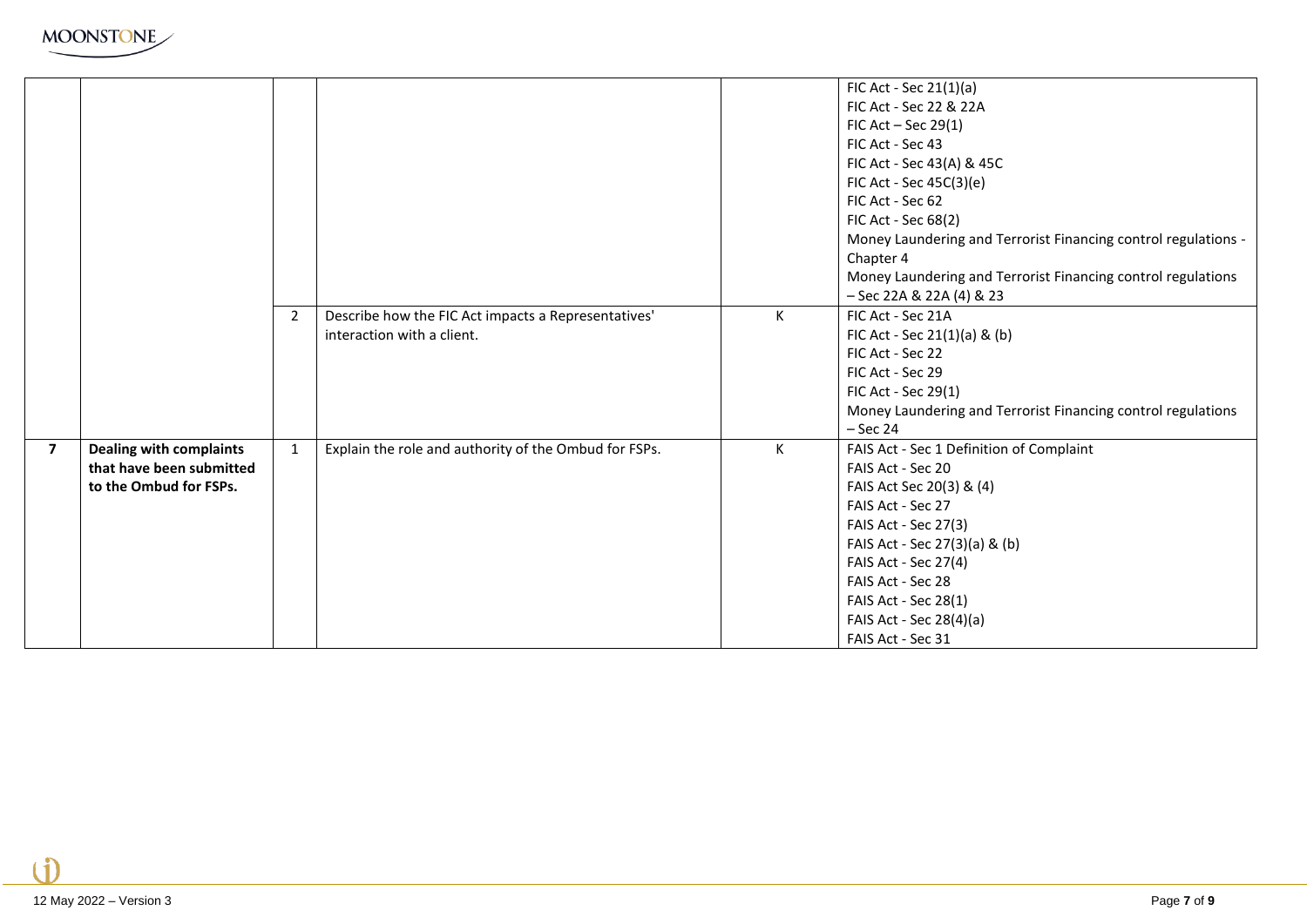

|                |                                |                |                                                       |   | FIC Act - Sec $21(1)(a)$                                       |
|----------------|--------------------------------|----------------|-------------------------------------------------------|---|----------------------------------------------------------------|
|                |                                |                |                                                       |   | FIC Act - Sec 22 & 22A                                         |
|                |                                |                |                                                       |   | FIC Act $-$ Sec 29(1)                                          |
|                |                                |                |                                                       |   | FIC Act - Sec 43                                               |
|                |                                |                |                                                       |   | FIC Act - Sec 43(A) & 45C                                      |
|                |                                |                |                                                       |   | FIC Act - Sec 45C(3)(e)                                        |
|                |                                |                |                                                       |   | FIC Act - Sec 62                                               |
|                |                                |                |                                                       |   | FIC Act - Sec 68(2)                                            |
|                |                                |                |                                                       |   | Money Laundering and Terrorist Financing control regulations - |
|                |                                |                |                                                       |   | Chapter 4                                                      |
|                |                                |                |                                                       |   | Money Laundering and Terrorist Financing control regulations   |
|                |                                |                |                                                       |   | - Sec 22A & 22A (4) & 23                                       |
|                |                                | $\overline{2}$ | Describe how the FIC Act impacts a Representatives'   | K | FIC Act - Sec 21A                                              |
|                |                                |                | interaction with a client.                            |   | FIC Act - Sec 21(1)(a) & (b)                                   |
|                |                                |                |                                                       |   | FIC Act - Sec 22                                               |
|                |                                |                |                                                       |   | FIC Act - Sec 29                                               |
|                |                                |                |                                                       |   | FIC Act - Sec 29(1)                                            |
|                |                                |                |                                                       |   | Money Laundering and Terrorist Financing control regulations   |
|                |                                |                |                                                       |   | $-$ Sec 24                                                     |
| $\overline{7}$ | <b>Dealing with complaints</b> | $\mathbf{1}$   | Explain the role and authority of the Ombud for FSPs. | К | FAIS Act - Sec 1 Definition of Complaint                       |
|                | that have been submitted       |                |                                                       |   | FAIS Act - Sec 20                                              |
|                | to the Ombud for FSPs.         |                |                                                       |   | FAIS Act Sec 20(3) & (4)                                       |
|                |                                |                |                                                       |   | FAIS Act - Sec 27                                              |
|                |                                |                |                                                       |   | FAIS Act - Sec 27(3)                                           |
|                |                                |                |                                                       |   | FAIS Act - Sec 27(3)(a) & (b)                                  |
|                |                                |                |                                                       |   | FAIS Act - Sec 27(4)                                           |
|                |                                |                |                                                       |   | FAIS Act - Sec 28                                              |
|                |                                |                |                                                       |   | FAIS Act - Sec 28(1)                                           |
|                |                                |                |                                                       |   | FAIS Act - Sec 28(4)(a)                                        |
|                |                                |                |                                                       |   | FAIS Act - Sec 31                                              |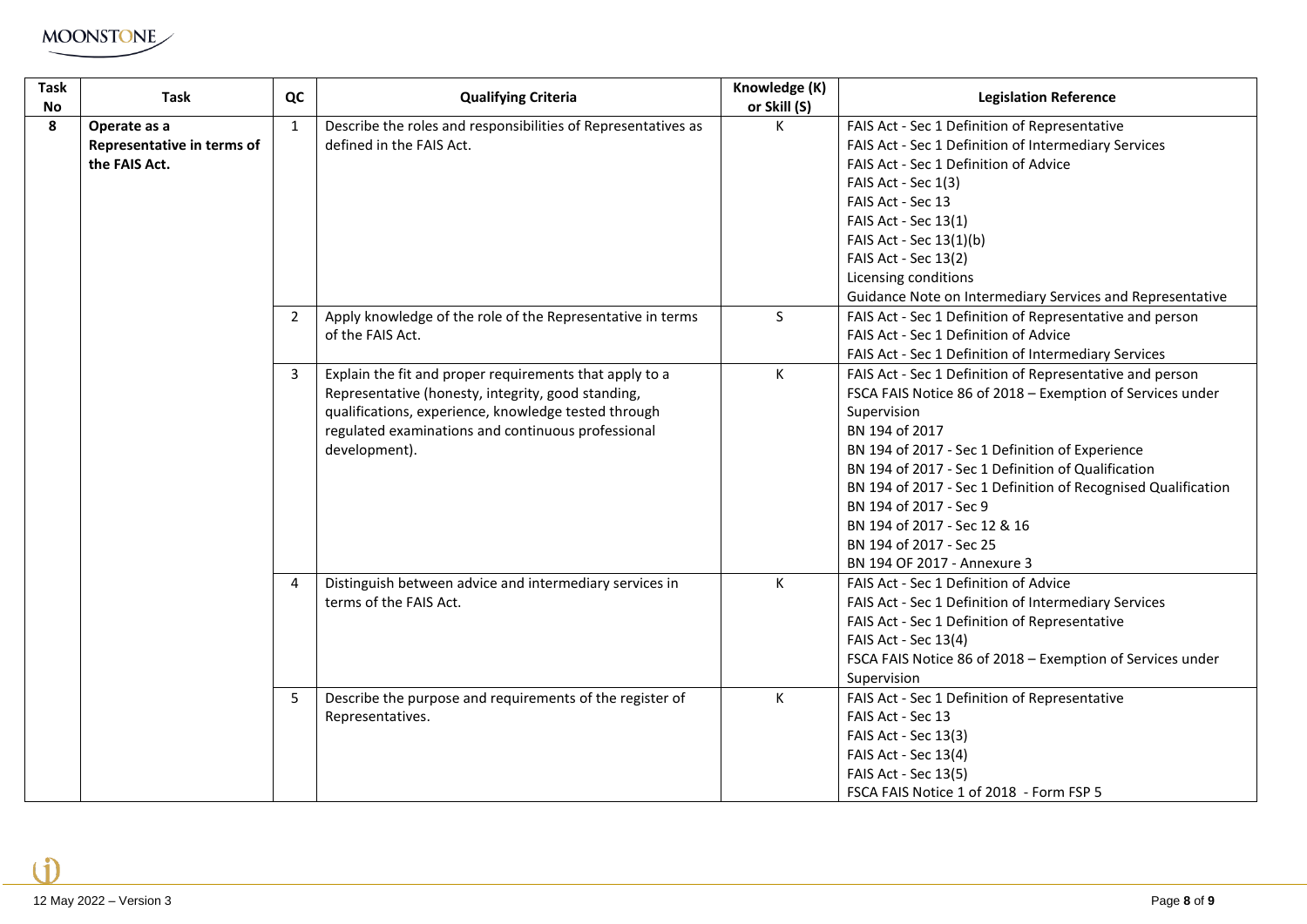

| <b>Task</b><br>No | <b>Task</b>                                                 | QC             | <b>Qualifying Criteria</b>                                                                                                                                                                                                                   | Knowledge (K)<br>or Skill (S) | <b>Legislation Reference</b>                                                                                                                                                                                                                                                                                                                                                                                                                         |
|-------------------|-------------------------------------------------------------|----------------|----------------------------------------------------------------------------------------------------------------------------------------------------------------------------------------------------------------------------------------------|-------------------------------|------------------------------------------------------------------------------------------------------------------------------------------------------------------------------------------------------------------------------------------------------------------------------------------------------------------------------------------------------------------------------------------------------------------------------------------------------|
| 8                 | Operate as a<br>Representative in terms of<br>the FAIS Act. | $\mathbf{1}$   | Describe the roles and responsibilities of Representatives as<br>defined in the FAIS Act.                                                                                                                                                    | К                             | FAIS Act - Sec 1 Definition of Representative<br>FAIS Act - Sec 1 Definition of Intermediary Services<br>FAIS Act - Sec 1 Definition of Advice<br>FAIS Act - Sec 1(3)<br>FAIS Act - Sec 13<br>FAIS Act - Sec 13(1)<br>FAIS Act - Sec 13(1)(b)<br>FAIS Act - Sec 13(2)<br>Licensing conditions<br>Guidance Note on Intermediary Services and Representative                                                                                           |
|                   |                                                             | $\overline{2}$ | Apply knowledge of the role of the Representative in terms<br>of the FAIS Act.                                                                                                                                                               | S                             | FAIS Act - Sec 1 Definition of Representative and person<br>FAIS Act - Sec 1 Definition of Advice<br>FAIS Act - Sec 1 Definition of Intermediary Services                                                                                                                                                                                                                                                                                            |
|                   |                                                             | 3<br>4         | Explain the fit and proper requirements that apply to a<br>Representative (honesty, integrity, good standing,<br>qualifications, experience, knowledge tested through<br>regulated examinations and continuous professional<br>development). | К                             | FAIS Act - Sec 1 Definition of Representative and person<br>FSCA FAIS Notice 86 of 2018 - Exemption of Services under<br>Supervision<br>BN 194 of 2017<br>BN 194 of 2017 - Sec 1 Definition of Experience<br>BN 194 of 2017 - Sec 1 Definition of Qualification<br>BN 194 of 2017 - Sec 1 Definition of Recognised Qualification<br>BN 194 of 2017 - Sec 9<br>BN 194 of 2017 - Sec 12 & 16<br>BN 194 of 2017 - Sec 25<br>BN 194 OF 2017 - Annexure 3 |
|                   |                                                             |                | Distinguish between advice and intermediary services in<br>terms of the FAIS Act.                                                                                                                                                            | К                             | FAIS Act - Sec 1 Definition of Advice<br>FAIS Act - Sec 1 Definition of Intermediary Services<br>FAIS Act - Sec 1 Definition of Representative<br>FAIS Act - Sec 13(4)<br>FSCA FAIS Notice 86 of 2018 - Exemption of Services under<br>Supervision                                                                                                                                                                                                   |
|                   |                                                             | 5              | Describe the purpose and requirements of the register of<br>Representatives.                                                                                                                                                                 | К                             | FAIS Act - Sec 1 Definition of Representative<br>FAIS Act - Sec 13<br>FAIS Act - Sec 13(3)<br>FAIS Act - Sec 13(4)<br>FAIS Act - Sec 13(5)<br>FSCA FAIS Notice 1 of 2018 - Form FSP 5                                                                                                                                                                                                                                                                |

Ă